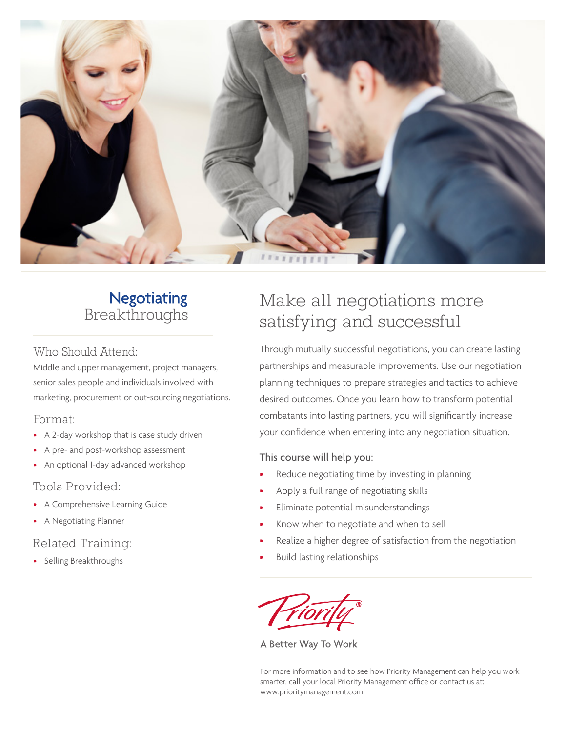

### **Negotiating** Breakthroughs

#### Who Should Attend:

Middle and upper management, project managers, senior sales people and individuals involved with marketing, procurement or out-sourcing negotiations.

#### Format:

- A 2-day workshop that is case study driven
- A pre- and post-workshop assessment
- An optional 1-day advanced workshop

#### Tools Provided:

- A Comprehensive Learning Guide
- A Negotiating Planner

#### Related Training:

• Selling Breakthroughs

### Make all negotiations more satisfying and successful

Through mutually successful negotiations, you can create lasting partnerships and measurable improvements. Use our negotiationplanning techniques to prepare strategies and tactics to achieve desired outcomes. Once you learn how to transform potential combatants into lasting partners, you will significantly increase your confidence when entering into any negotiation situation.

#### This course will help you:

- Reduce negotiating time by investing in planning
- Apply a full range of negotiating skills
- Eliminate potential misunderstandings
- Know when to negotiate and when to sell
- Realize a higher degree of satisfaction from the negotiation
- Build lasting relationships

A Better Way To Work

For more information and to see how Priority Management can help you work smarter, call your local Priority Management office or contact us at: www.prioritymanagement.com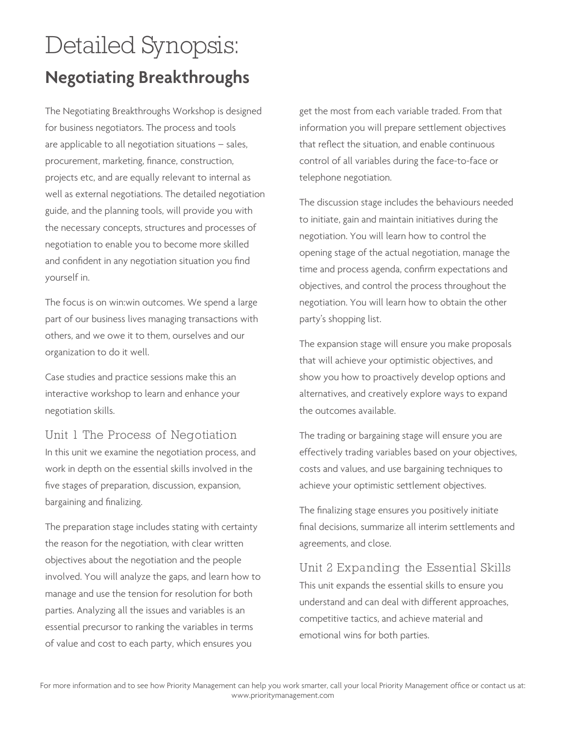# Detailed Synopsis: **Negotiating Breakthroughs**

The Negotiating Breakthroughs Workshop is designed for business negotiators. The process and tools are applicable to all negotiation situations – sales, procurement, marketing, finance, construction, projects etc, and are equally relevant to internal as well as external negotiations. The detailed negotiation guide, and the planning tools, will provide you with the necessary concepts, structures and processes of negotiation to enable you to become more skilled and confident in any negotiation situation you find yourself in.

The focus is on win:win outcomes. We spend a large part of our business lives managing transactions with others, and we owe it to them, ourselves and our organization to do it well.

Case studies and practice sessions make this an interactive workshop to learn and enhance your negotiation skills.

Unit 1 The Process of Negotiation In this unit we examine the negotiation process, and work in depth on the essential skills involved in the five stages of preparation, discussion, expansion, bargaining and finalizing.

The preparation stage includes stating with certainty the reason for the negotiation, with clear written objectives about the negotiation and the people involved. You will analyze the gaps, and learn how to manage and use the tension for resolution for both parties. Analyzing all the issues and variables is an essential precursor to ranking the variables in terms of value and cost to each party, which ensures you

get the most from each variable traded. From that information you will prepare settlement objectives that reflect the situation, and enable continuous control of all variables during the face-to-face or telephone negotiation.

The discussion stage includes the behaviours needed to initiate, gain and maintain initiatives during the negotiation. You will learn how to control the opening stage of the actual negotiation, manage the time and process agenda, confirm expectations and objectives, and control the process throughout the negotiation. You will learn how to obtain the other party's shopping list.

The expansion stage will ensure you make proposals that will achieve your optimistic objectives, and show you how to proactively develop options and alternatives, and creatively explore ways to expand the outcomes available.

The trading or bargaining stage will ensure you are effectively trading variables based on your objectives, costs and values, and use bargaining techniques to achieve your optimistic settlement objectives.

The finalizing stage ensures you positively initiate final decisions, summarize all interim settlements and agreements, and close.

Unit 2 Expanding the Essential Skills This unit expands the essential skills to ensure you understand and can deal with different approaches, competitive tactics, and achieve material and emotional wins for both parties.